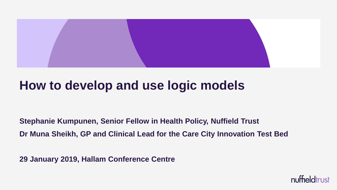

### **How to develop and use logic models**

**Stephanie Kumpunen, Senior Fellow in Health Policy, Nuffield Trust Dr Muna Sheikh, GP and Clinical Lead for the Care City Innovation Test Bed**

**29 January 2019, Hallam Conference Centre**

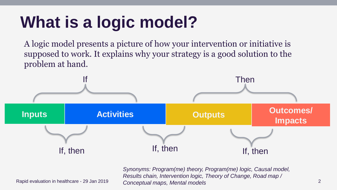# **What is a logic model?**

A logic model presents a picture of how your intervention or initiative is supposed to work. It explains why your strategy is a good solution to the problem at hand.



Rapid evaluation in healthcare - 29 Jan 2019 Concentual mans Mental models 2 *Synonyms: Program(me) theory, Program(me) logic, Causal model, Results chain, Intervention logic, Theory of Change, Road map / Conceptual maps, Mental models*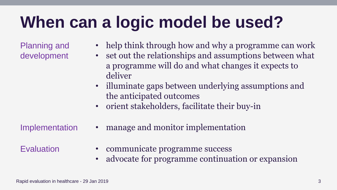### **When can a logic model be used?**

Planning and development

- help think through how and why a programme can work
- set out the relationships and assumptions between what a programme will do and what changes it expects to deliver
- illuminate gaps between underlying assumptions and the anticipated outcomes
- orient stakeholders, facilitate their buy-in
- Implementation manage and monitor implementation
- 
- Evaluation communicate programme success
	- advocate for programme continuation or expansion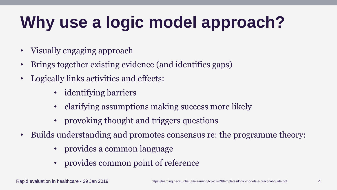# **Why use a logic model approach?**

- Visually engaging approach
- Brings together existing evidence (and identifies gaps)
- Logically links activities and effects:
	- identifying barriers
	- clarifying assumptions making success more likely
	- provoking thought and triggers questions
- Builds understanding and promotes consensus re: the programme theory:
	- provides a common language
	- provides common point of reference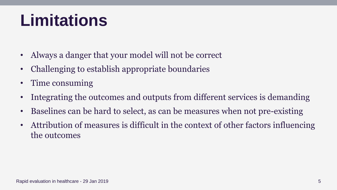## **Limitations**

- Always a danger that your model will not be correct
- Challenging to establish appropriate boundaries
- Time consuming
- Integrating the outcomes and outputs from different services is demanding
- Baselines can be hard to select, as can be measures when not pre-existing
- Attribution of measures is difficult in the context of other factors influencing the outcomes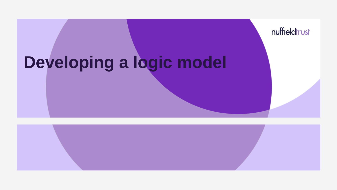## **Developing a logic model**

nuffieldtrust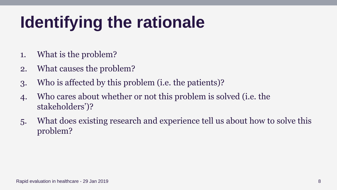# **Identifying the rationale**

- 1. What is the problem?
- 2. What causes the problem?
- 3. Who is affected by this problem (i.e. the patients)?
- 4. Who cares about whether or not this problem is solved (i.e. the stakeholders')?
- 5. What does existing research and experience tell us about how to solve this problem?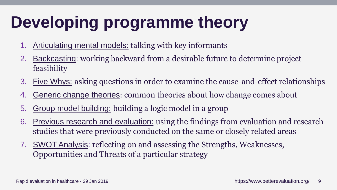# **Developing programme theory**

- 1. [Articulating mental models:](https://www.betterevaluation.org/evaluation-options/articulating_mental_models) talking with key informants
- 2. [Backcasting](https://www.betterevaluation.org/evaluation-options/backcasting): working backward from a desirable future to determine project feasibility
- 3. [Five Whys:](https://www.betterevaluation.org/evaluation-options/five_whys) asking questions in order to examine the cause-and-effect relationships
- 4. [Generic change theories](http://www.betterevaluation.org/en/node/6218): common theories about how change comes about
- 5. [Group model building:](https://www.betterevaluation.org/evaluation-options/group_model_building) building a logic model in a group
- 6. [Previous research and evaluation:](https://www.betterevaluation.org/evaluation-options/previous_research_and_evaluation) using the findings from evaluation and research studies that were previously conducted on the same or closely related areas
- 7. SWOT [Analysis](https://www.betterevaluation.org/evaluation-options/swotanalysis): reflecting on and assessing the Strengths, Weaknesses, Opportunities and Threats of a particular strategy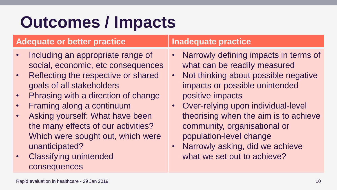### **Outcomes / Impacts**

### **Adequate or better practice Inadequate practice**

- Including an appropriate range of social, economic, etc consequences
- Reflecting the respective or shared goals of all stakeholders
- Phrasing with a direction of change
- Framing along a continuum
- Asking yourself: What have been the many effects of our activities? Which were sought out, which were unanticipated?
- Classifying unintended consequences

- Narrowly defining impacts in terms of what can be readily measured
- Not thinking about possible negative impacts or possible unintended positive impacts
- Over-relying upon individual-level theorising when the aim is to achieve community, organisational or population-level change
- Narrowly asking, did we achieve what we set out to achieve?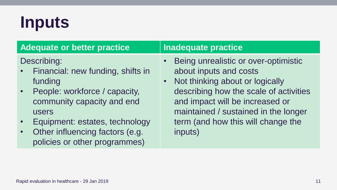## **Inputs**

| <b>Adequate or better practice</b>                                                                                                                 | <b>Inadequate practice</b>                                                                                                                                                                                                              |
|----------------------------------------------------------------------------------------------------------------------------------------------------|-----------------------------------------------------------------------------------------------------------------------------------------------------------------------------------------------------------------------------------------|
| Describing:<br>Financial: new funding, shifts in<br>$\bullet$ .<br>funding<br>People: workforce / capacity,<br>community capacity and end<br>users | • Being unrealistic or over-optimistic<br>about inputs and costs<br>Not thinking about or logically<br>$\bullet$ .<br>describing how the scale of activities<br>and impact will be increased or<br>maintained / sustained in the longer |
| Equipment: estates, technology                                                                                                                     | term (and how this will change the                                                                                                                                                                                                      |
| Other influencing factors (e.g.                                                                                                                    | inputs)                                                                                                                                                                                                                                 |

• Other influencing factors (e.g. policies or other programmes)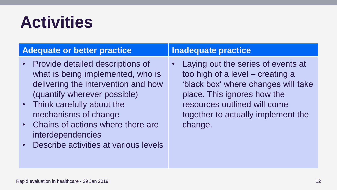### **Activities**

### **Adequate or better practice Inadequate practice**

- Provide detailed descriptions of what is being implemented, who is delivering the intervention and how (quantify wherever possible)
- Think carefully about the mechanisms of change
- Chains of actions where there are interdependencies
- Describe activities at various levels

• Laying out the series of events at too high of a level – creating a 'black box' where changes will take place. This ignores how the resources outlined will come together to actually implement the change.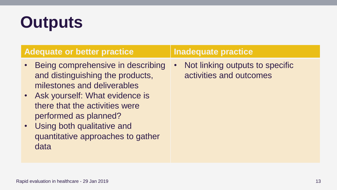## **Outputs**

### **Adequate or better practice Inadequate practice**

- Being comprehensive in describing and distinguishing the products, milestones and deliverables
- Ask yourself: What evidence is there that the activities were performed as planned?
- Using both qualitative and quantitative approaches to gather data

• Not linking outputs to specific activities and outcomes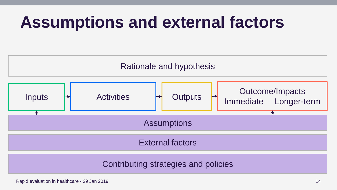### **Assumptions and external factors**



Rapid evaluation in healthcare - 29 Jan 2019 14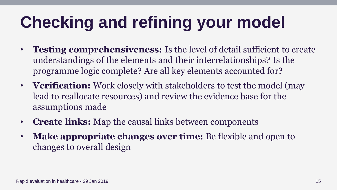# **Checking and refining your model**

- **Testing comprehensiveness:** Is the level of detail sufficient to create understandings of the elements and their interrelationships? Is the programme logic complete? Are all key elements accounted for?
- **Verification:** Work closely with stakeholders to test the model (may lead to reallocate resources) and review the evidence base for the assumptions made
- **Create links:** Map the causal links between components
- **Make appropriate changes over time:** Be flexible and open to changes to overall design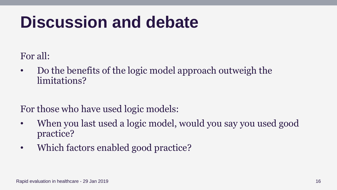### **Discussion and debate**

For all:

• Do the benefits of the logic model approach outweigh the limitations?

For those who have used logic models:

- When you last used a logic model, would you say you used good practice?
- Which factors enabled good practice?